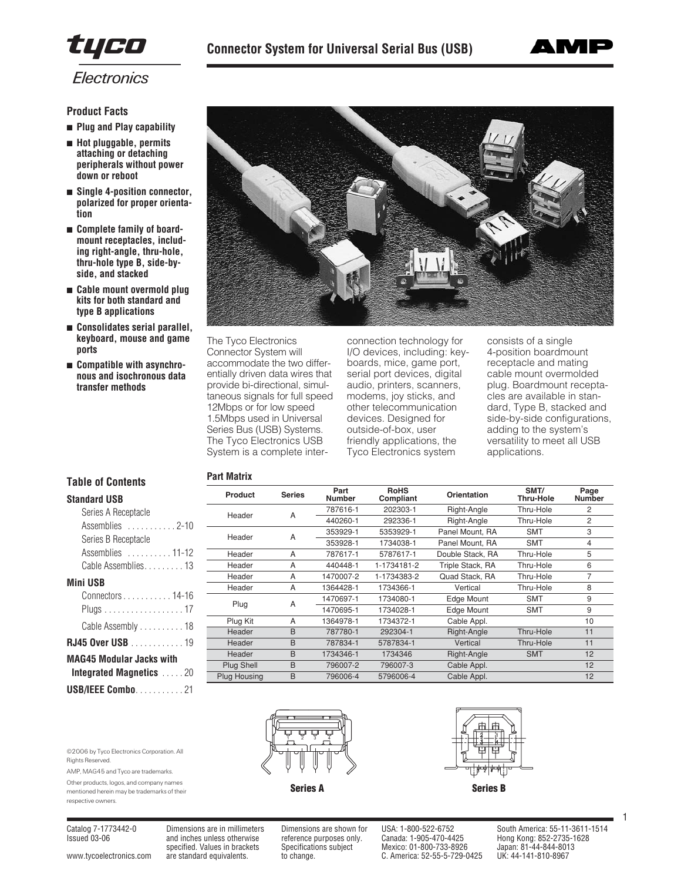



**Product Facts**

- **Plug and Play capability**
- **Hot pluggable, permits attaching or detaching peripherals without power down or reboot**
- **Single 4-position connector, polarized for proper orientation**
- **Complete family of boardmount receptacles, including right-angle, thru-hole, thru-hole type B, side-byside, and stacked**
- **Cable mount overmold plug kits for both standard and type B applications**
- **Consolidates serial parallel, keyboard, mouse and game ports**
- **Compatible with asynchronous and isochronous data transfer methods**



The Tyco Electronics Connector System will accommodate the two differentially driven data wires that provide bi-directional, simultaneous signals for full speed 12Mbps or for low speed 1.5Mbps used in Universal Series Bus (USB) Systems. The Tyco Electronics USB System is a complete inter-

**Part Matrix**

connection technology for I/O devices, including: keyboards, mice, game port, serial port devices, digital audio, printers, scanners, modems, joy sticks, and other telecommunication devices. Designed for outside-of-box, user friendly applications, the Tyco Electronics system

consists of a single 4-position boardmount receptacle and mating cable mount overmolded plug. Boardmount receptacles are available in standard, Type B, stacked and side-by-side configurations, adding to the system's versatility to meet all USB applications.

# **Table of Contents**

| <b>Standard USB</b>             |
|---------------------------------|
| Series A Receptacle             |
| Assemblies 2-10                 |
| Series B Receptacle             |
| Assemblies 11-12                |
| Cable Assemblies13              |
| <b>Mini USB</b>                 |
| Connectors 14-16                |
| Plugs 17                        |
| Cable Assembly 18               |
| <b>RJ45 Over USB</b> 19         |
| <b>MAG45 Modular Jacks with</b> |
| <b>Integrated Magnetics 20</b>  |
|                                 |

| <b>ntegrated Magnetics</b> 20 |  |  |  |  |  |
|-------------------------------|--|--|--|--|--|
| AG45 Modular Jacks with       |  |  |  |  |  |
| 45 Over USB 19                |  |  |  |  |  |
| Cable Assembly 18             |  |  |  |  |  |
| Plugs 1/                      |  |  |  |  |  |

```
USB/IEEE Combo. . . . . . . . . . . 21
```
©2006 by Tyco Electronics Corporation. All

AMP, MAG45 and Tyco are trademarks. Other products, logos, and company names mentioned herein may be trademarks of their

| Product<br><b>Series</b> |   | Part<br><b>Number</b> | <b>RoHS</b><br>Compliant | Orientation      | SMT/<br>Thru-Hole | Page<br><b>Number</b> |
|--------------------------|---|-----------------------|--------------------------|------------------|-------------------|-----------------------|
| Header                   | A | 787616-1              | 202303-1                 | Right-Angle      | Thru-Hole         | 2                     |
|                          |   | 440260-1              | 292336-1                 | Right-Angle      | Thru-Hole         | $\overline{2}$        |
| Header                   | A | 353929-1              | 5353929-1                | Panel Mount, RA  | <b>SMT</b>        | 3                     |
|                          |   | 353928-1              | 1734038-1                | Panel Mount, RA  | <b>SMT</b>        | 4                     |
| Header                   | A | 787617-1              | 5787617-1                | Double Stack, RA | Thru-Hole         | 5                     |
| Header                   | A | 440448-1              | 1-1734181-2              | Triple Stack, RA | Thru-Hole         | 6                     |
| Header                   | A | 1470007-2             | 1-1734383-2              | Quad Stack, RA   | Thru-Hole         | 7                     |
| Header                   | A | 1364428-1             | 1734366-1                | Vertical         | Thru-Hole         | 8                     |
| Plug                     | A | 1470697-1             | 1734080-1                | Edge Mount       | <b>SMT</b>        | 9                     |
|                          |   | 1470695-1             | 1734028-1                | Edge Mount       | <b>SMT</b>        | 9                     |
| Plug Kit                 | A | 1364978-1             | 1734372-1                | Cable Appl.      |                   | 10                    |
| Header                   | B | 787780-1              | 292304-1                 | Right-Angle      | Thru-Hole         | 11                    |
| Header                   | B | 787834-1              | 5787834-1                | Vertical         | Thru-Hole         | 11                    |
| Header                   | B | 1734346-1             | 1734346                  | Right-Angle      | <b>SMT</b>        | 12                    |
| Plug Shell               | B | 796007-2              | 796007-3                 | Cable Appl.      |                   | 12                    |
| Plug Housing             | B | 796006-4              | 5796006-4                | Cable Appl.      |                   | 12                    |
|                          |   |                       |                          |                  |                   |                       |







Rights Reserved.

respective owners.

Issued 03-06 and inches unless otherwise reference purposes only. Canada: 1-905-470-4425 Hong Kong: 852-2735-1628 specified. Values in brackets Specifications subject Mexico: 01-800-733-8926 Japan: 81-44-844-8013<br>are standard equivalents. to change. C. America: 52-55-5-729-0425 UK: 44-141-810-8967 [www.tycoelectronics.com](http://www.tycoelectronics.com) are standard equivalents. to change. C. America: 52-55-5-729-0425

Catalog 7-1773442-0 Dimensions are in millimeters Dimensions are shown for USA: 1-800-522-6752 South America: 55-11-3611-1514

1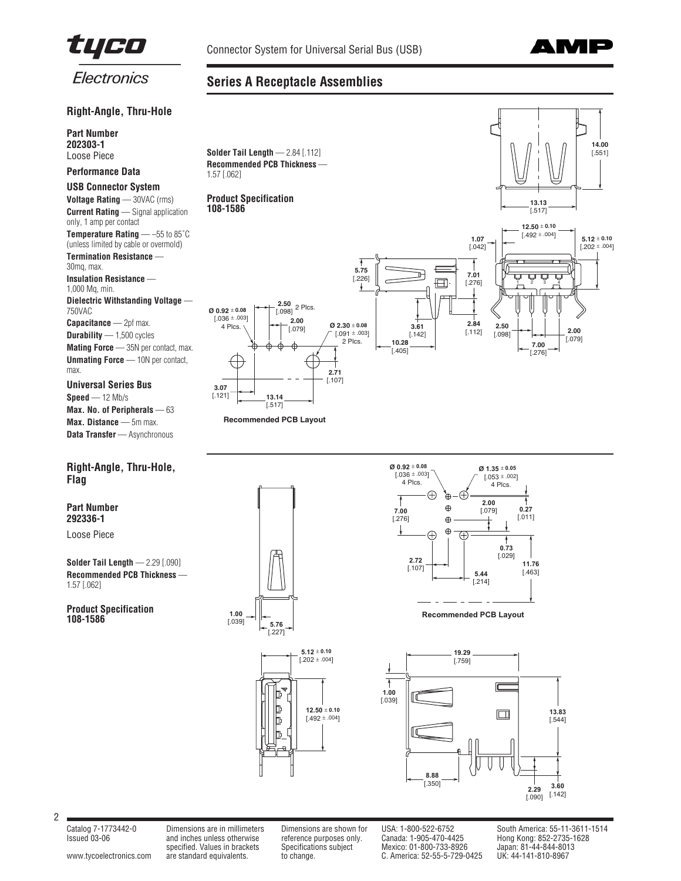

**Series A Receptacle Assemblies**



# Electronics

# **Right-Angle, Thru-Hole**

**Part Number 202303-1** Loose Piece

## **Performance Data**

## **USB Connector System**

**Voltage Rating** — 30VAC (rms) **Current Rating** — Signal application only, 1 amp per contact **Temperature Rating** — –55 to 85˚C (unless limited by cable or overmold) **Termination Resistance** 30mq, max. **Insulation Resistance** — 1,000 Mq, min. **Dielectric Withstanding Voltage** — 750VAC **Capacitance** — 2pf max. **Durability** — 1,500 cycles

**Mating Force** — 35N per contact, max. **Unmating Force** — 10N per contact, max.

**Universal Series Bus Speed** — 12 Mb/s **Max. No. of Peripherals** — 63 **Max. Distance** — 5m max. **Data Transfer** — Asynchronous

# **Right-Angle, Thru-Hole, Flag**

# **Part Number 292336-1**

Loose Piece

**Solder Tail Length** — 2.29 [.090] **Recommended PCB Thickness** — 1.57 [.062]

**Product Specification 108-1586**









**Recommended PCB Layout**



2

Issued 03-06 and inches unless otherwise reference purposes only. Canada: 1-905-470-4425 Hong Kong: 852-2735-1628 and inches unless otherwise the energy of the process only. Canada: 1-905-470-4425 Hong Kong: 852-2735-1<br>specified. Values in brackets Specifications subject Mexico: 01-800-733-8926 Japan: 81-44-844-8013<br>are standard equiv [www.tycoelectronics.com](http://www.tycoelectronics.com) are standard equivalents. to change. C. America: 52-55-5-729-0425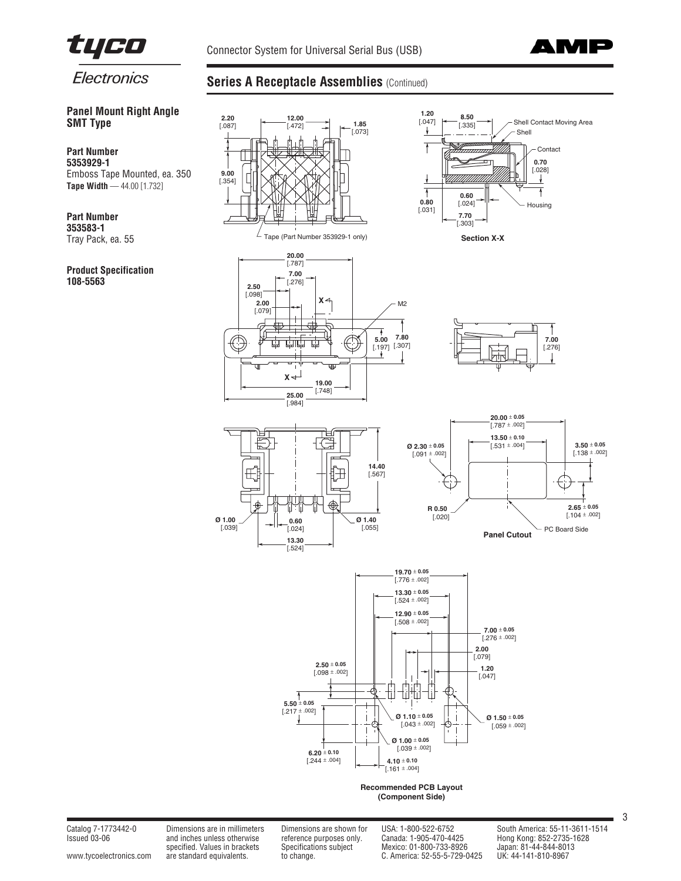



**SMT Type**

**Part Number 5353929-1**

**Part Number 353583-1** Tray Pack, ea. 55

**108-5563**

**Product Specification**

**Panel Mount Right Angle**

Emboss Tape Mounted, ea. 350 **Tape Width** — 44.00 [1.732]

# **Series A Receptacle Assemblies (Continued)**

#### **2.20 1.20** [.047] **8.50 12.00** Shell Contact Moving Area  $[.087]$   $[-472]$   $[-1.85]$ [.335] [.073] Shell Contact **0.70** [.028] **9.00** V [.354] ł  $\begin{array}{c|c} \uparrow & 0.60 \\ 0.80 & 0.241 \end{array}$ Housing [.031] **7.70** [.303] L Tape (Part Number 353929-1 only) **Section X-X 20.00** [.787] **7.00** [.276] **2.50** [.098] **2.00 X** M2 [.079]  $\overline{\phantom{a}}$ **7.80** काके **5.00** [.197] [.307] **7.00** 中 甴 [.276] T  $x \leftarrow$ **19.00** [.748] **25.00** [.984] **20.00** ± **0.05**  $[.787 \pm .002]$ 石原 **13.50** ± **0.10** Ë **3.50** ± **0.05 Ø 2.30** ± **0.05**  $[.531 \pm .004]$  $[.138 \pm .002]$  $[0.091 \pm 0.002]$ **14.40** [.567] J. 虹中 </u>  $2.65 \pm 0.05$ **R 0.50**  $[.104 \pm .002]$ **Ø 1.00**  $\begin{bmatrix} 0.60 & 0.60 \\ 0.0241 & 0.055 \end{bmatrix}$  [.020] **Ø 1.40** [.039]  $\left[ .024 \right]$ PC Board Side **Panel Cutout 13.30**  $\overline{1.5241}$ **19.70** ± **0.05**  $[.776 \pm .002]$ **13.30** ± **0.05**  $[.524 \pm .002]$ **12.90** ± **0.05**  $1.508 \pm .0021$ **7.00** ± **0.05**  $[.276 \pm .002]$ **2.00** [.079] **2.50** ± **0.05 1.20**  $[.098 \pm .002]$ [.047] 曲曲 ₩ ψ  $5.50 \pm 0.05$  $[.217 \pm .002]$ **Ø 1.10** ± **0.05 Ø 1.50** ± **0.05**  $[.043 \pm .002]$  $[.059 \pm .002]$ **Ø 1.00** ± **0.05**  $[.039 \pm .002]$ **6.20** ± **0.10**  $[-244 \pm .004]$ **4.10** ± **0.10**  $[.161 \pm .004]$ **Recommended PCB Layout (Component Side)**

Issued 03-06 and inches unless otherwise reference purposes only. Canada: 1-905-470-4425 Hong Kong: 852-2735-1628 specified. Values in brackets in the content of the process only.<br>Specifications subject Mexico: 01-800-733-8926 Japan: 81-44-844-8013<br>are standard equivalents. to change. C. America: 52-55-5-729-0425 UK: 44-141-810-8967 [www.tycoelectronics.com](http://www.tycoelectronics.com) are standard equivalents. to change. C. America: 52-55-5-729-0425

Catalog 7-1773442-0 Dimensions are in millimeters Dimensions are shown for USA: 1-800-522-6752 South America: 55-11-3611-1514

3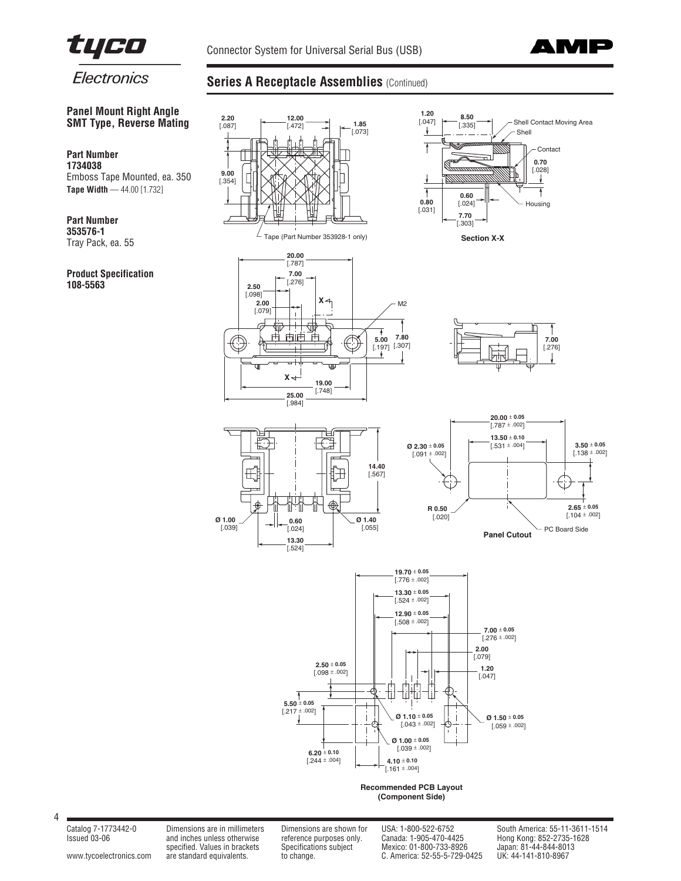



**Panel Mount Right Angle SMT Type, Reverse Mating**

Emboss Tape Mounted, ea. 350 **Tape Width** — 44.00 [1.732]

# **Series A Receptacle Assemblies (Continued)**



**353576-1** Tray Pack, ea. 55

**Part Number 1734038**

**Part Number**

# **Product Specification 108-5563**

4

[www.tycoelectronics.com](http://www.tycoelectronics.com) are standard equivalents. to change. C. America: 52-55-5-729-0425

Issued 03-06 and inches unless otherwise reference purposes only. Canada: 1-905-470-4425 Hong Kong: 852-2735-1628 specified. Values in the content of the content of the content of the content of the content of the content of the specifications subject and inches unless of the specifications subject of the content of the content of the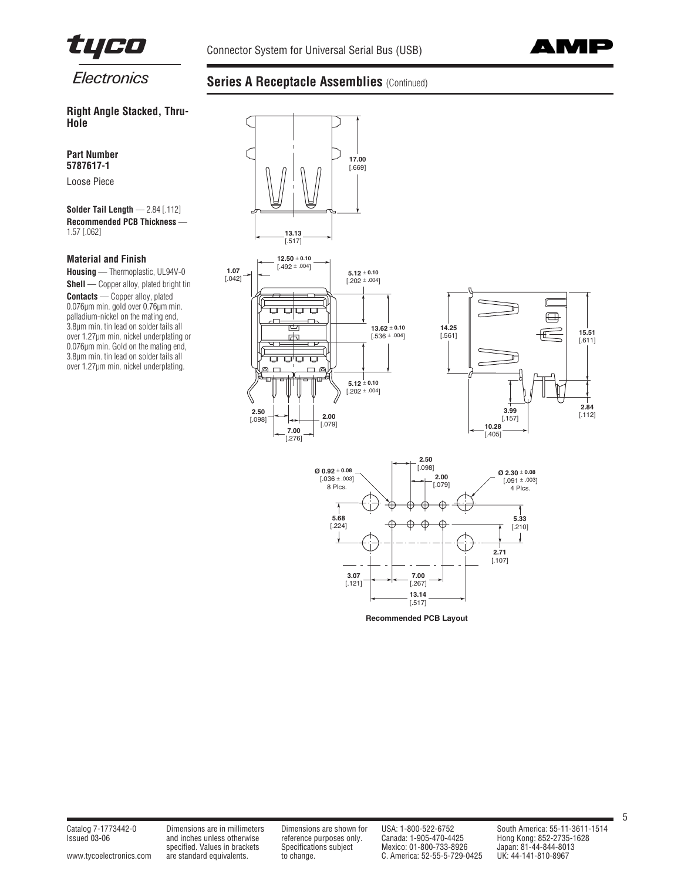



# **Right Angle Stacked, Thru-Hole**

**Part Number 5787617-1**

Loose Piece

**Solder Tail Length** — 2.84 [.112] **Recommended PCB Thickness** — 1.57 [.062]

# **Material and Finish**

**Housing** — Thermoplastic, UL94V-0 **Shell** — Copper alloy, plated bright tin **Contacts** — Copper alloy, plated 0.076µm min. gold over 0.76µm min. palladium-nickel on the mating end, 3.8µm min. tin lead on solder tails all over 1.27µm min. nickel underplating or 0.076µm min. Gold on the mating end, 3.8µm min. tin lead on solder tails all over 1.27µm min. nickel underplating.

# **Series A Receptacle Assemblies (Continued)**





specified. Values in brackets in the content of the proposes only.<br>Specifications subject Mexico: 01-800-733-8926 Japan: 81-44-844-8013<br>are standard equivalents. to change. C. America: 52-55-5-729-0425 UK: 44-141-810-8967 [www.tycoelectronics.com](http://www.tycoelectronics.com) are standard equivalents. to change. C. America: 52-55-5-729-0425

Issued 03-06 and inches unless otherwise reference purposes only. Canada: 1-905-470-4425 Hong Kong: 852-2735-1628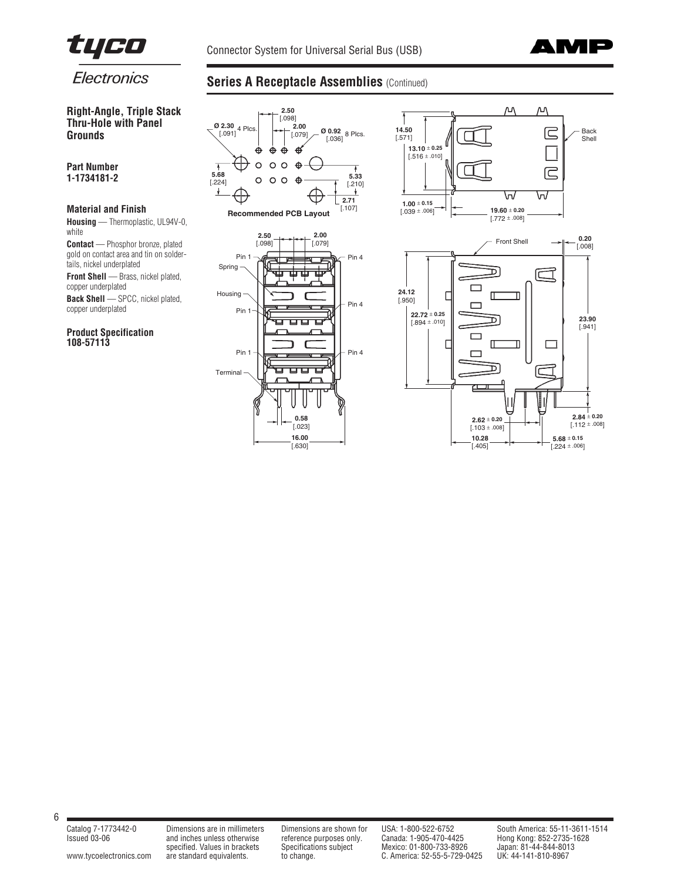



**Right-Angle, Triple Stack Thru-Hole with Panel Grounds**

**Part Number 1-1734181-2** 

# **Material and Finish**

**Housing** — Thermoplastic, UL94V-0, white

**Contact** — Phosphor bronze, plated gold on contact area and tin on soldertails, nickel underplated

**Front Shell** — Brass, nickel plated, copper underplated

**Back Shell** — SPCC, nickel plated, copper underplated

**Product Specification 108-57113**

# **Series A Receptacle Assemblies (Continued)**



[www.tycoelectronics.com](http://www.tycoelectronics.com) are standard equivalents. to change. C. America: 52-55-5-729-0425

Issued 03-06 and inches unless otherwise reference purposes only. Canada: 1-905-470-4425 Hong Kong: 852-2735-1628 and inches unless otherwise the energy of the canada: 1-905-470-4425 Hong Kong: 852-2735<br>specified. Values in brackets Specifications subject Mexico: 01-800-733-8926 Japan: 81-44-844-8013<br>c. America: 52-55-5-729-0425 UK: 4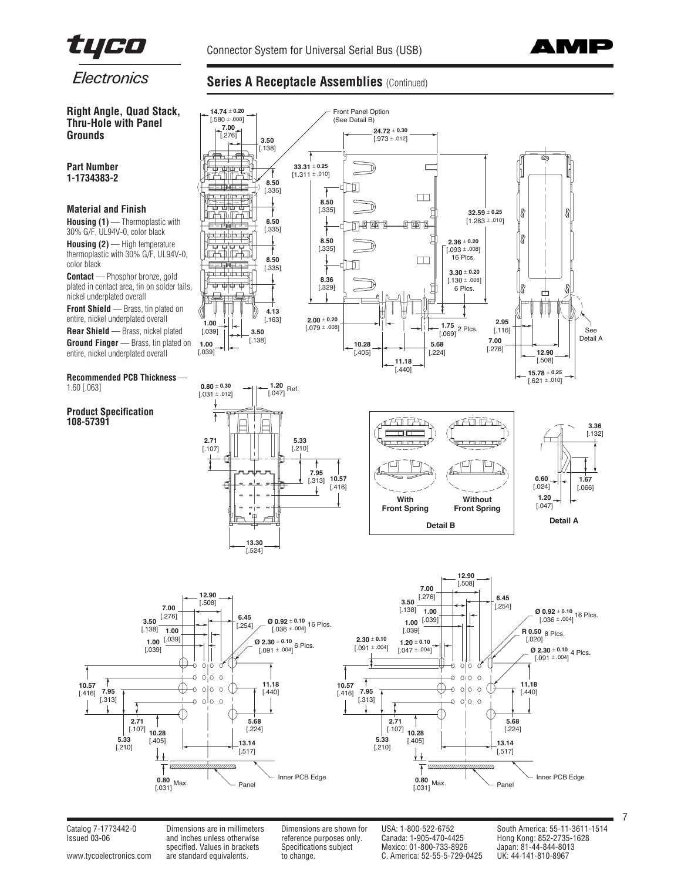



# **Series A Receptacle Assemblies (Continued)**

**Right Angle, Quad Stack, Thru-Hole with Panel Grounds**

## **Part Number 1-1734383-2**

# **Material and Finish**

**Housing (1)** — Thermoplastic with 30% G/F, UL94V-0, color black

**Housing (2)** — High temperature thermoplastic with 30% G/F, UL94V-0, color black

**Contact** — Phosphor bronze, gold plated in contact area, tin on solder tails, nickel underplated overall

**Front Shield** — Brass, tin plated on entire, nickel underplated overall

**Rear Shield** — Brass, nickel plated Ground Finger - Brass, tin plated on entire, nickel underplated overall

#### **Recommended PCB Thickness** — 1.60 [.063]

**Product Specification 108-57391**













Issued 03-06 and inches unless otherwise reference purposes only. Canada: 1-905-470-4425 Hong Kong: 852-2735-1628 specified. Values in brackets Specifications subject Mexico: 01-800-733-8926 Japan: 81-44-844-8013<br>are standard equivalents. to change. C. America: 52-55-5-729-0425 UK: 44-141-810-8967 [www.tycoelectronics.com](http://www.tycoelectronics.com) are standard equivalents. to change. C. America: 52-55-5-729-0425

Catalog 7-1773442-0 Dimensions are in millimeters Dimensions are shown for USA: 1-800-522-6752 South America: 55-11-3611-1514

7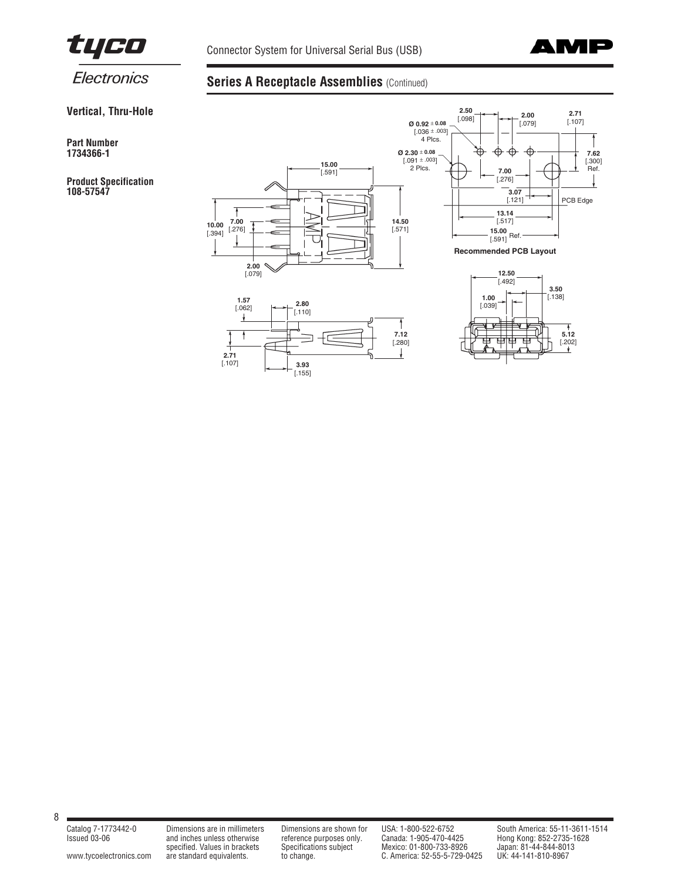



**Series A Receptacle Assemblies (Continued)** 

**Vertical, Thru-Hole**

**Part Number 1734366-1**

**Product Specification 108-57547**







**Recommended PCB Layout**



8

[www.tycoelectronics.com](http://www.tycoelectronics.com) are standard equivalents. to change. the change. C. America: 52-55-5-729-0425 UK: 44-141-810-8967

Issued 03-06 and inches unless otherwise reference purposes only. Canada: 1-905-470-4425 Hong Kong: 852-2735-1628 specified. Values in brackets Specifications subject Mexico: 01-800-733-8926 Japan: 81-44-844-8013

Catalog 7-1773442-0 Dimensions are in millimeters Dimensions are shown for USA: 1-800-522-6752 South America: 55-11-3611-1514<br>Issued 03-06 and inches unless otherwise reference purposes only. Canada: 1-905-470-4425 Hong Ko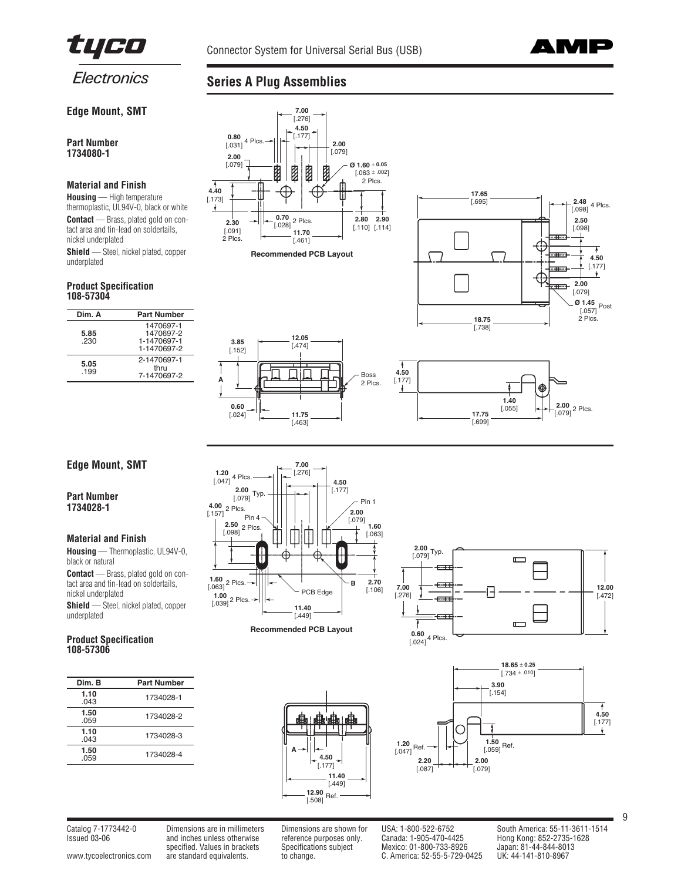



# **Edge Mount, SMT**

**Part Number 1734080-1**

## **Material and Finish**

**Housing** — High temperature thermoplastic, UL94V-0, black or white **Contact** — Brass, plated gold on contact area and tin-lead on soldertails, nickel underplated **Shield** — Steel, nickel plated, copper

underplated

## **Product Specification 108-57304**

| Dim. A      | <b>Part Number</b>                                   |
|-------------|------------------------------------------------------|
| 5.85<br>230 | 1470697-1<br>1470697-2<br>1-1470697-1<br>1-1470697-2 |
| 5.05<br>199 | 2-1470697-1<br>thru<br>7-1470697-2                   |

# **Series A Plug Assemblies**









# **Edge Mount, SMT**

## **Part Number 1734028-1**

## **Material and Finish**

**Housing** — Thermoplastic, UL94V-0, black or natural **Contact** — Brass, plated gold on con-

tact area and tin-lead on soldertails, nickel underplated

**Shield** — Steel, nickel plated, copper underplated

## **Product Specification 108-57306**

| Dim. B       | <b>Part Number</b> |
|--------------|--------------------|
| 1.10<br>.043 | 1734028-1          |
| 1.50<br>.059 | 1734028-2          |
| 1.10<br>.043 | 1734028-3          |
| 1.50<br>.059 | 1734028-4          |
|              |                    |



**Recommended PCB Layout**







Issued 03-06 and inches unless otherwise reference purposes only. Canada: 1-905-470-4425 Hong Kong: 852-2735-1628 and inches unless otherwise the energy of the process only. The Canada: 1-905-470-4425 Hong Kong: 852-2735-1<br>specified. Values in brackets Specifications subject Mexico: 01-800-733-8926 Japan: 81-44-844-8013<br>are standard e [www.tycoelectronics.com](http://www.tycoelectronics.com) are standard equivalents. to change. C. America: 52-55-5-729-0425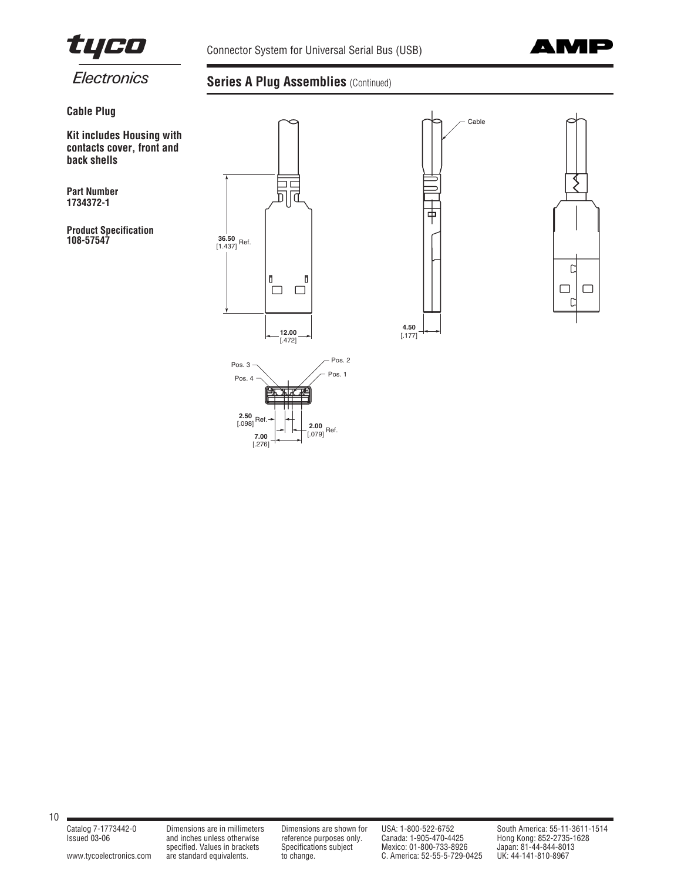

Connector System for Universal Serial Bus (USB)



# **Cable Plug**

**Kit includes Housing with contacts cover, front and back shells**

**Part Number 1734372-1**

**Product Specification 108-57547 36.50**

# **Series A Plug Assemblies (Continued)**

[.276]



[www.tycoelectronics.com](http://www.tycoelectronics.com) are standard equivalents. to change. the change. C. America: 52-55-5-729-0425 UK: 44-141-810-8967

Issued 03-06 and inches unless otherwise reference purposes only. Canada: 1-905-470-4425 Hong Kong: 852-2735-1628 specified. Values in brackets Specifications subject Mexico: 01-800-733-8926 Japan: 81-44-844-8013

Catalog 7-1773442-0 Dimensions are in millimeters Dimensions are shown for USA: 1-800-522-6752 South America: 55-11-3611-1514<br>Issued 03-06 and inches unless otherwise reference purposes only. Canada: 1-905-470-4425 Hong Ko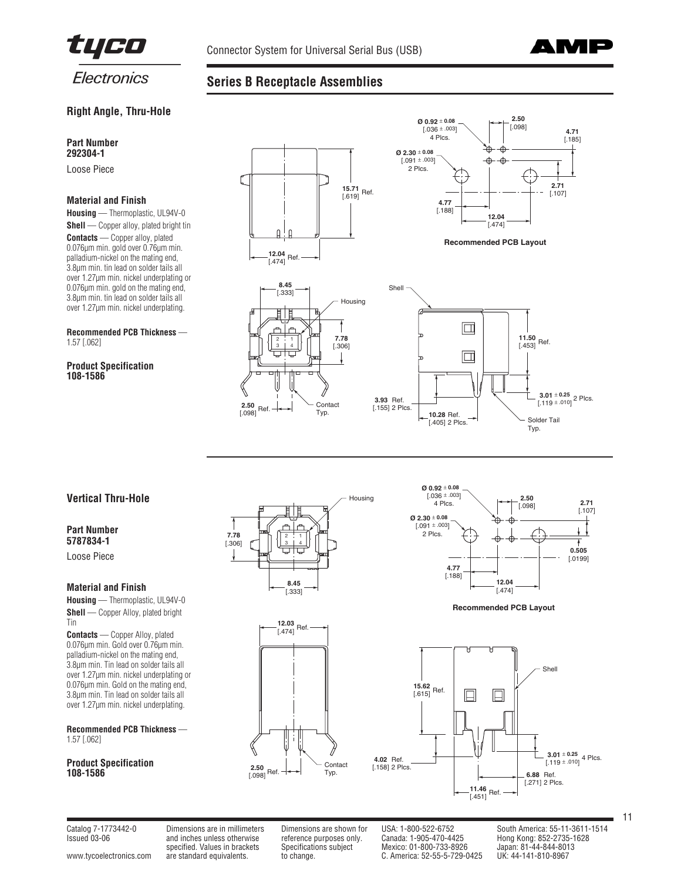

**Series B Receptacle Assemblies**



# **Right Angle, Thru-Hole**

## **Part Number 292304-1**

Loose Piece

## **Material and Finish**

**Housing** — Thermoplastic, UL94V-0 **Shell** — Copper alloy, plated bright tin **Contacts** — Copper alloy, plated 0.076µm min. gold over 0.76µm min. palladium-nickel on the mating end, 3.8µm min. tin lead on solder tails all over 1.27µm min. nickel underplating or 0.076µm min. gold on the mating end, 3.8µm min. tin lead on solder tails all over 1.27µm min. nickel underplating.

#### **Recommended PCB Thickness** — 1.57 [.062]

**Product Specification 108-1586**



# **Vertical Thru-Hole**

# **Part Number 5787834-1**

Loose Piece

## **Material and Finish**

**Housing** — Thermoplastic, UL94V-0 **Shell** — Copper Alloy, plated bright Tin

**Contacts** — Copper Alloy, plated 0.076µm min. Gold over 0.76µm min. palladium-nickel on the mating end, 3.8µm min. Tin lead on solder tails all over 1.27µm min. nickel underplating or 0.076µm min. Gold on the mating end, 3.8µm min. Tin lead on solder tails all over 1.27µm min. nickel underplating.

**Recommended PCB Thickness** — 1.57 [.062]

#### **Product Specification 108-1586**



Ref. **12.03** [.474]



**Recommended PCB Layout**



[www.tycoelectronics.com](http://www.tycoelectronics.com) are standard equivalents. to change. C. America: 52-55-5-729-0425

**2.50**  $\frac{2.50}{0.098}$  Ref

**Contact** Typ.

 $\overline{\phantom{a}}$ 

Issued 03-06 and inches unless otherwise reference purposes only. Canada: 1-905-470-4425 Hong Kong: 852-2735-1628 and inches unless otherwise the energy of the process only.<br>Specifications subject Specifications subject Mexico: 01-800-733-8926 Japan: 81-44-844-8013<br>are standard equivalents. to change. C. America: 52-55-5-729-0425 UK: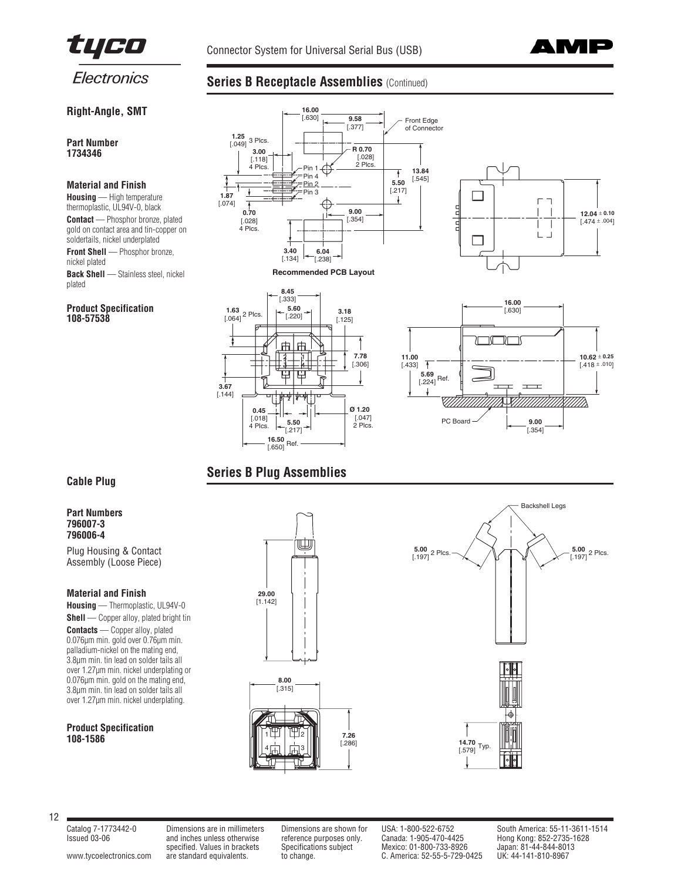



# **Right-Angle, SMT**

**Part Number 1734346**

## **Material and Finish**

**Housing** — High temperature thermoplastic, UL94V-0, black **Contact** — Phosphor bronze, plated gold on contact area and tin-copper on soldertails, nickel underplated **Front Shell** — Phosphor bronze, nickel plated **Back Shell** — Stainless steel, nickel plated

#### **Product Specification 108-57538**









# **Series B Plug Assemblies**

**16.50** [.650] Ref.

**0.45** [.018] 4 Plcs.

**5.50** [.217]

⊞ ₩

**8.45** [.333]

由 |市  $\Box$ 4. - I -<br>- I - I

**5.60** [.220]

**1.63** [.064] 2 Plcs.

**3.67** [.144]

1

# **Cable Plug**

# **Part Numbers 796007-3 796006-4**

Plug Housing & Contact Assembly (Loose Piece)

## **Material and Finish**

**Housing** — Thermoplastic, UL94V-0 **Shell** — Copper alloy, plated bright tin **Contacts** — Copper alloy, plated 0.076µm min. gold over 0.76µm min. palladium-nickel on the mating end, 3.8µm min. tin lead on solder tails all over 1.27µm min. nickel underplating or 0.076µm min. gold on the mating end, 3.8µm min. tin lead on solder tails all over 1.27µm min. nickel underplating.

## **Product Specification 108-1586**





12

**7.26**

Issued 03-06 and inches unless otherwise reference purposes only. Canada: 1-905-470-4425 Hong Kong: 852-2735-1628 and inches unless otherwise the energy of the process only. The Canada: 1-905-470-4425 Hong Kong: 852-2735-1<br>specified. Values in brackets Specifications subject Mexico: 01-800-733-8926 Japan: 81-44-844-8013<br>are standard e [www.tycoelectronics.com](http://www.tycoelectronics.com) are standard equivalents. to change. C. America: 52-55-5-729-0425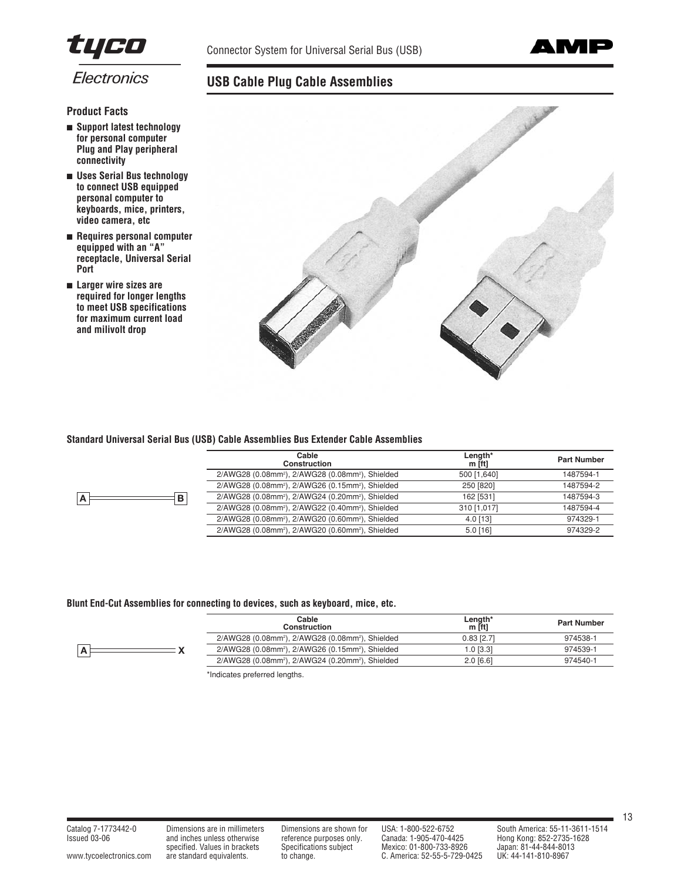



# **USB Cable Plug Cable Assemblies**



- **Support latest technology for personal computer Plug and Play peripheral connectivity**
- **Uses Serial Bus technology to connect USB equipped personal computer to keyboards, mice, printers, video camera, etc**
- **Requires personal computer equipped with an "A" receptacle, Universal Serial Port**
- **Larger wire sizes are required for longer lengths to meet USB specifications for maximum current load and milivolt drop**



# **Standard Universal Serial Bus (USB) Cable Assemblies Bus Extender Cable Assemblies**

| Cable<br>Construction                                                    | Length*<br>$m$ [ft] | <b>Part Number</b> |
|--------------------------------------------------------------------------|---------------------|--------------------|
| 2/AWG28 (0.08mm <sup>2</sup> ), 2/AWG28 (0.08mm <sup>2</sup> ), Shielded | 500 [1,640]         | 1487594-1          |
| 2/AWG28 (0.08mm <sup>2</sup> ), 2/AWG26 (0.15mm <sup>2</sup> ), Shielded | 250 [820]           | 1487594-2          |
| 2/AWG28 (0.08mm <sup>2</sup> ), 2/AWG24 (0.20mm <sup>2</sup> ), Shielded | 162 [531]           | 1487594-3          |
| 2/AWG28 (0.08mm <sup>2</sup> ), 2/AWG22 (0.40mm <sup>2</sup> ), Shielded | 310 [1,017]         | 1487594-4          |
| 2/AWG28 (0.08mm <sup>2</sup> ), 2/AWG20 (0.60mm <sup>2</sup> ), Shielded | $4.0$ [13]          | 974329-1           |
| 2/AWG28 (0.08mm <sup>2</sup> ), 2/AWG20 (0.60mm <sup>2</sup> ), Shielded | $5.0$ [16]          | 974329-2           |

## **Blunt End-Cut Assemblies for connecting to devices, such as keyboard, mice, etc.**

 $\overline{A}$  **B** 

| Cable<br>Construction                                                    | Length*<br>m [ft] | <b>Part Number</b> |
|--------------------------------------------------------------------------|-------------------|--------------------|
| 2/AWG28 (0.08mm <sup>2</sup> ), 2/AWG28 (0.08mm <sup>2</sup> ), Shielded | $0.83$ [2.7]      | 974538-1           |
| 2/AWG28 (0.08mm <sup>2</sup> ), 2/AWG26 (0.15mm <sup>2</sup> ), Shielded | $1.0$ [ $3.31$ ]  | 974539-1           |
| 2/AWG28 (0.08mm <sup>2</sup> ), 2/AWG24 (0.20mm <sup>2</sup> ), Shielded | $2.0$ [6.6]       | 974540-1           |
|                                                                          |                   |                    |

\*Indicates preferred lengths.

[www.tycoelectronics.com](http://www.tycoelectronics.com) are standard equivalents. to change. C. America: 52-55-5-729-0425

Issued 03-06 and inches unless otherwise reference purposes only. Canada: 1-905-470-4425 Hong Kong: 852-2735-1628 specified. Values in brackets in the contract of the process only. Canada: 1-905-470-4425 Hong Kong: 852-2735<br>specifications subject Mexico: 01-800-733-8926 Japan: 81-44-844-8013<br>are standard equivalents. to change. C. Ame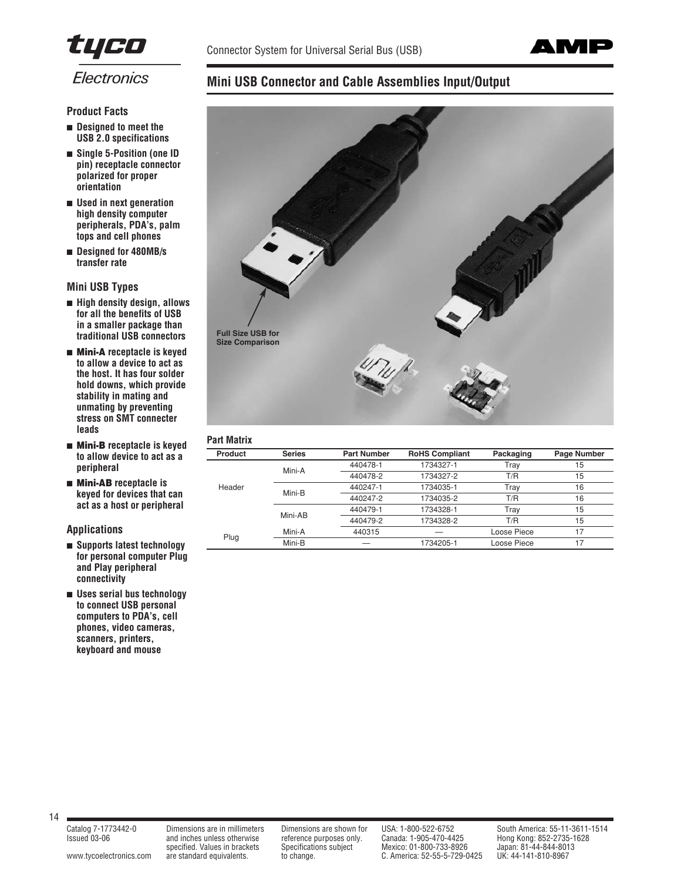



# **Mini USB Connector and Cable Assemblies Input/Output**



## **Part Matrix**

| <b>Product</b> | <b>Series</b> | <b>Part Number</b> | <b>RoHS Compliant</b> | Packaging   | Page Number |
|----------------|---------------|--------------------|-----------------------|-------------|-------------|
| Header         | Mini-A        | 440478-1           | 1734327-1             | Trav        | 15          |
|                |               | 440478-2           | 1734327-2             | T/R         | 15          |
|                | Mini-B        | 440247-1           | 1734035-1             | Trav        | 16          |
|                |               | 440247-2           | 1734035-2             | T/R         | 16          |
|                | Mini-AB       | 440479-1           | 1734328-1             | Trav        | 15          |
|                |               | 440479-2           | 1734328-2             | T/R         | 15          |
|                | Mini-A        | 440315             |                       | Loose Piece | 17          |
| Plug           | Mini-B        |                    | 1734205-1             | Loose Piece | 17          |

**Product Facts** ■ **Designed to meet the USB 2.0 specifications**

- Single 5-Position (one ID **pin) receptacle connector polarized for proper orientation**
- **Used in next generation high density computer peripherals, PDA's, palm tops and cell phones**
- **Designed for 480MB/s transfer rate**

**Mini USB Types**

- **High density design, allows for all the benefits of USB in a smaller package than traditional USB connectors**
- **Mini-A receptacle is keyed to allow a device to act as the host. It has four solder hold downs, which provide stability in mating and unmating by preventing stress on SMT connecter leads**
- **Mini-B receptacle is keyed to allow device to act as a peripheral**
- **Mini-AB receptacle is keyed for devices that can act as a host or peripheral**

**Applications**

- **Supports latest technology for personal computer Plug and Play peripheral connectivity**
- **Uses serial bus technology to connect USB personal computers to PDA's, cell phones, video cameras, scanners, printers, keyboard and mouse**

14

Issued 03-06 and inches unless otherwise reference purposes only. Canada: 1-905-470-4425 Hong Kong: 852-2735-1628 and inches unless otherwise the energy of the process only.<br>Specifications subject Mexico: 01-800-733-8926 Japan: 81-44-844-8013<br>are standard equivalents. to change. C. America: 52-55-5-729-0425 UK: 44-141-810-8967 [www.tycoelectronics.com](http://www.tycoelectronics.com) are standard equivalents. to change. C. America: 52-55-5-729-0425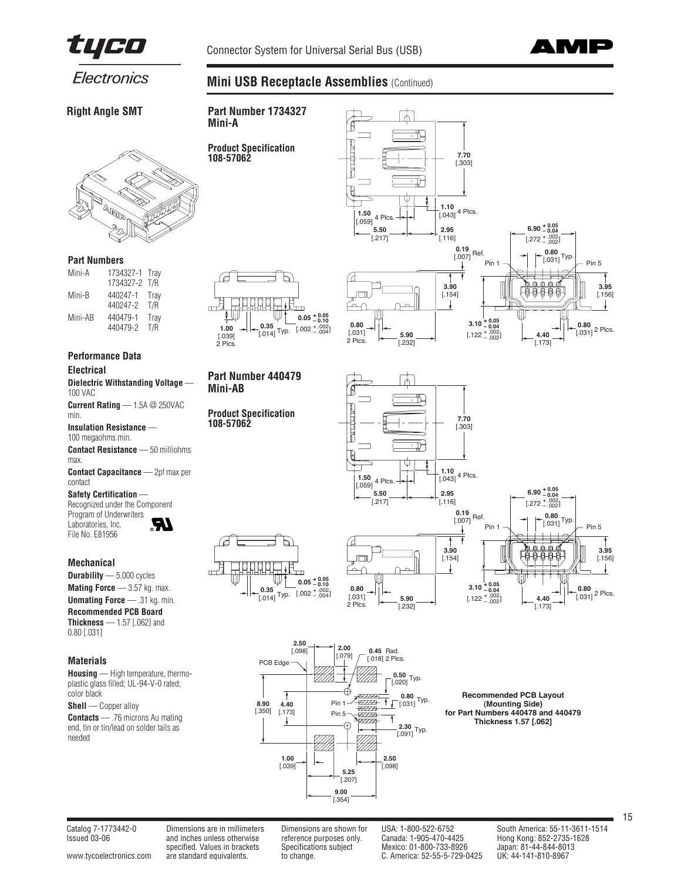

**Mini USB Receptacle Assemblies (Continued)** 



Electronics

**Right Angle SMT**



#### **Part Numbers**

| Mini-A  | 1734327-1 Tray<br>1734327-2 T/R |             |
|---------|---------------------------------|-------------|
| Mini-B  | 440247-1<br>440247-2            | Tray<br>T/R |
| Mini-AB | 440479-1<br>440479-2            | Tray<br>T/R |

# **Performance Data**

**Electrical**

**Dielectric Withstanding Voltage** — 100 VAC

**Current Rating** — 1.5A @ 250VAC min.

**Insulation Resistance** — 100 megaohms min.

**Contact Resistance** — 50 milliohms max.

**Contact Capacitance** — 2pf max per contact

**Safety Certification** — Recognized under the Component Program of Underwriters

Laboratories, Inc. File No. E81956 **R**

# **Mechanical**

**Durability** — 5,000 cycles **Mating Force** — 3.57 kg. max.

**Unmating Force** — .31 kg. min. **Recommended PCB Board**

**Thickness** — 1.57 [.062] and 0.80 [.031]

# **Materials**

**Housing** — High temperature, thermoplastic glass filled; UL-94-V-0 rated; color black

**Shell** — Copper alloy

**Contacts** — .76 microns Au mating end, tin or tin/lead on solder tails as needed



**Part Number 1734327**

**Product Specification**

**Mini-A**

**108-57062**

# **Part Number 440479 Mini-AB**

**Product Specification 108-57062**

⋓

É

显







**Recommended PCB Layout (Mounting Side) for Part Numbers 440478 and 440479 Thickness 1.57 [.062]**

[www.tycoelectronics.com](http://www.tycoelectronics.com) are standard equivalents. to change. C. America: 52-55-5-729-0425

Issued 03-06 and inches unless otherwise reference purposes only. Canada: 1-905-470-4425 Hong Kong: 852-2735-1628 and inches unless otherwise the energy of the process only. The Canada: 1-905-470-4425 Hong Kong: 852-2735-1<br>specified. Values in brackets Specifications subject Mexico: 01-800-733-8926 Japan: 81-44-844-8013<br>are standard e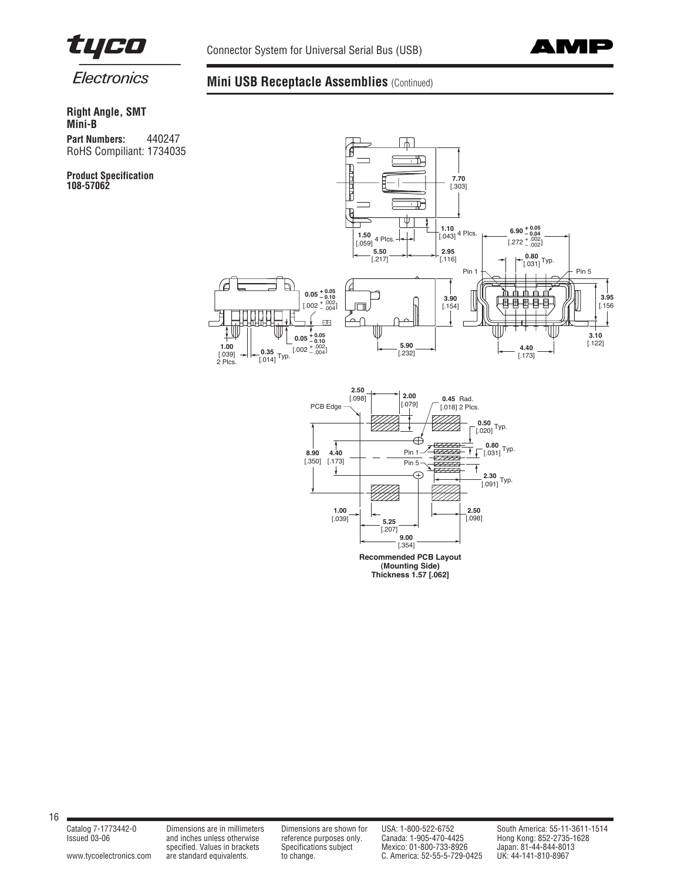



# **Mini USB Receptacle Assemblies** (Continued)

**Right Angle, SMT Mini-B Part Numbers:** 440247 RoHS Compiliant: 1734035

**Product Specification 108-57062**





16

[www.tycoelectronics.com](http://www.tycoelectronics.com) are standard equivalents. to change. C. America: 52-55-5-729-0425

Issued 03-06 and inches unless otherwise reference purposes only. Canada: 1-905-470-4425 Hong Kong: 852-2735-1628 specified. Values in the content of the content of the specified. Values in brackets Specifications subject Mexico: 01-800-733-8926 Japan: 81-44-844-8013<br>specified. Values in brackets Specifications subject Mexico: 01-800-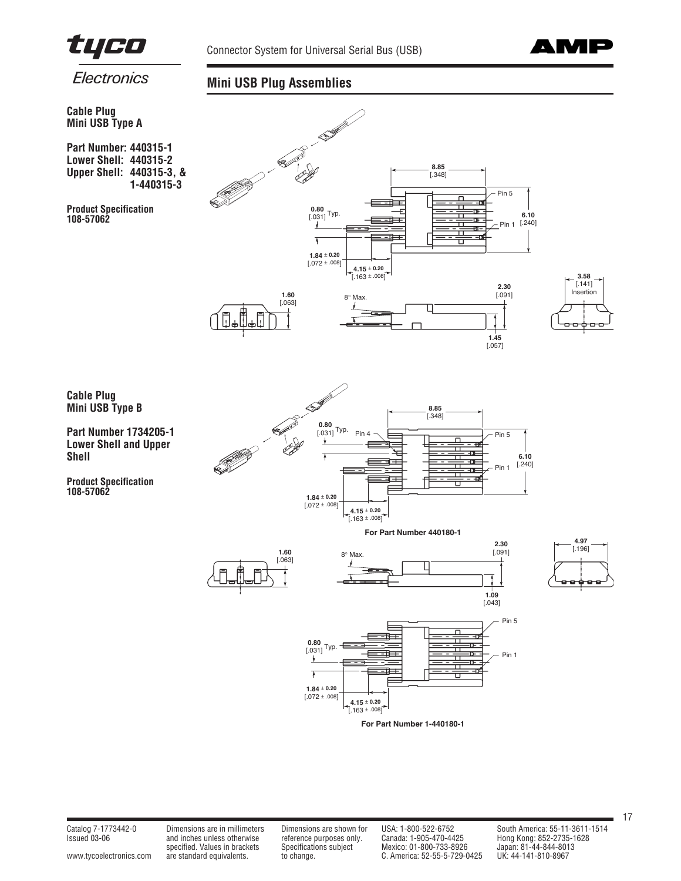



# **Mini USB Plug Assemblies**



**Part Number: 440315-1 Lower Shell: 440315-2 Upper Shell: 440315-3, & 1-440315-3**

**Product Specification 108-57062**





**Part Number 1734205-1 Lower Shell and Upper Shell**

**Product Specification 108-57062**











Issued 03-06 and inches unless otherwise reference purposes only. Canada: 1-905-470-4425 Hong Kong: 852-2735-1628 specified. Values in brackets in the contract of the process only.<br>Specifications subject Mexico: 01-800-733-8926 Japan: 81-44-844-8013<br>are standard equivalents. to change. C. America: 52-55-5-729-0425 UK: 44-141-810-8967 [www.tycoelectronics.com](http://www.tycoelectronics.com) are standard equivalents. to change. C. America: 52-55-5-729-0425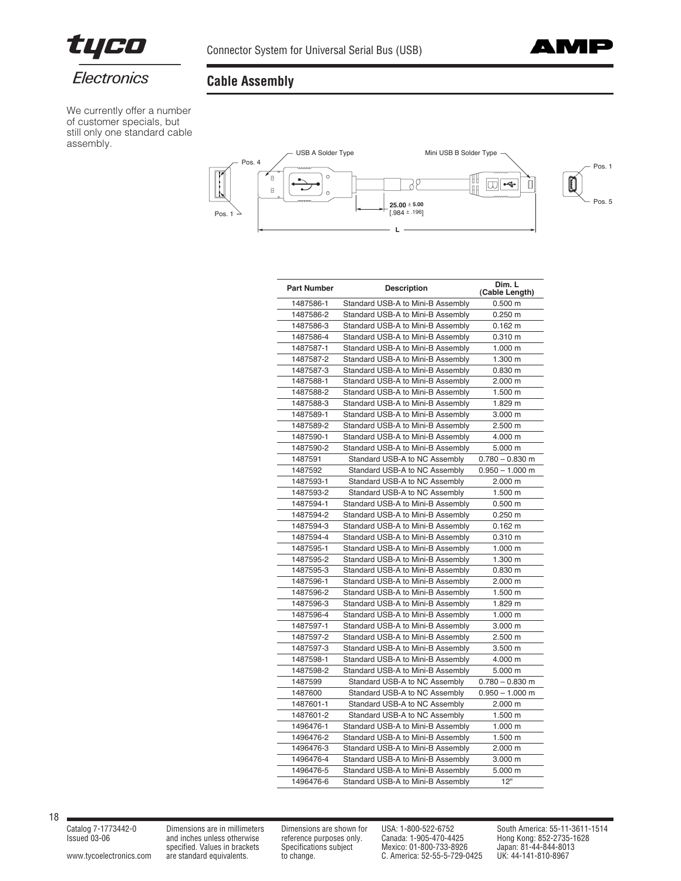



We currently offer a number of customer specials, but still only one standard cable assembly.

# **Cable Assembly**



| <b>Part Number</b> | <b>Description</b>                | Dim. L<br>(Cable Length) |
|--------------------|-----------------------------------|--------------------------|
| 1487586-1          | Standard USB-A to Mini-B Assembly | $0.500 \; m$             |
| 1487586-2          | Standard USB-A to Mini-B Assembly | $0.250 \; m$             |
| 1487586-3          | Standard USB-A to Mini-B Assembly | $0.162 \text{ m}$        |
| 1487586-4          | Standard USB-A to Mini-B Assembly | 0.310 m                  |
| 1487587-1          | Standard USB-A to Mini-B Assembly | 1.000 m                  |
| 1487587-2          | Standard USB-A to Mini-B Assembly | 1.300 m                  |
| 1487587-3          | Standard USB-A to Mini-B Assembly | $0.830 \; m$             |
| 1487588-1          | Standard USB-A to Mini-B Assembly | 2.000 m                  |
| 1487588-2          | Standard USB-A to Mini-B Assembly | 1.500 m                  |
| 1487588-3          | Standard USB-A to Mini-B Assembly | 1.829 m                  |
| 1487589-1          | Standard USB-A to Mini-B Assembly | 3.000 m                  |
| 1487589-2          | Standard USB-A to Mini-B Assembly | 2.500 m                  |
| 1487590-1          | Standard USB-A to Mini-B Assembly | 4.000 m                  |
| 1487590-2          | Standard USB-A to Mini-B Assembly | 5.000 m                  |
| 1487591            | Standard USB-A to NC Assembly     | $0.780 - 0.830$ m        |
| 1487592            | Standard USB-A to NC Assembly     | $0.950 - 1.000$ m        |
| 1487593-1          | Standard USB-A to NC Assembly     | 2.000 m                  |
| 1487593-2          | Standard USB-A to NC Assembly     | 1.500 m                  |
| 1487594-1          | Standard USB-A to Mini-B Assembly | $0.500 \; m$             |
| 1487594-2          | Standard USB-A to Mini-B Assembly | $0.250$ m                |
| 1487594-3          | Standard USB-A to Mini-B Assembly | $0.162 \text{ m}$        |
| 1487594-4          | Standard USB-A to Mini-B Assembly | 0.310 m                  |
| 1487595-1          | Standard USB-A to Mini-B Assembly | 1.000 m                  |
| 1487595-2          | Standard USB-A to Mini-B Assembly | 1.300 m                  |
| 1487595-3          | Standard USB-A to Mini-B Assembly | 0.830 m                  |
| 1487596-1          | Standard USB-A to Mini-B Assembly | 2.000 m                  |
| 1487596-2          | Standard USB-A to Mini-B Assembly | 1.500 m                  |
| 1487596-3          | Standard USB-A to Mini-B Assembly | 1.829 m                  |
| 1487596-4          | Standard USB-A to Mini-B Assembly | 1.000 m                  |
| 1487597-1          | Standard USB-A to Mini-B Assembly | 3.000 m                  |
| 1487597-2          | Standard USB-A to Mini-B Assembly | 2.500 m                  |
| 1487597-3          | Standard USB-A to Mini-B Assembly | 3.500 m                  |
| 1487598-1          | Standard USB-A to Mini-B Assembly | 4.000 m                  |
| 1487598-2          | Standard USB-A to Mini-B Assembly | 5.000 m                  |
| 1487599            | Standard USB-A to NC Assembly     | $0.780 - 0.830$ m        |
| 1487600            | Standard USB-A to NC Assembly     | $0.950 - 1.000$ m        |
| 1487601-1          | Standard USB-A to NC Assembly     | 2.000 m                  |
| 1487601-2          | Standard USB-A to NC Assembly     | 1.500 m                  |
| 1496476-1          | Standard USB-A to Mini-B Assembly | 1.000 m                  |
| 1496476-2          | Standard USB-A to Mini-B Assembly | 1.500 m                  |
| 1496476-3          | Standard USB-A to Mini-B Assembly | 2.000 m                  |
| 1496476-4          | Standard USB-A to Mini-B Assembly | 3.000 m                  |
| 1496476-5          | Standard USB-A to Mini-B Assembly | 5.000 m                  |
| 1496476-6          | Standard USB-A to Mini-B Assembly | 12"                      |

18

[www.tycoelectronics.com](http://www.tycoelectronics.com) are standard equivalents. to change. C. America: 52-55-5-729-0425

Issued 03-06 and inches unless otherwise reference purposes only. Canada: 1-905-470-4425 Hong Kong: 852-2735-1628 specified. Values in brackets Specifications subject Mexico: 01-800-733-8926 Japan: 81-44-844-8013

Catalog 7-1773442-0 Dimensions are in millimeters Dimensions are shown for USA: 1-800-522-6752 South America: 55-11-3611-1514<br>
Issued 03-06 and inches unless otherwise reference purposes only. Canada: 1-905-470-4425 Hong K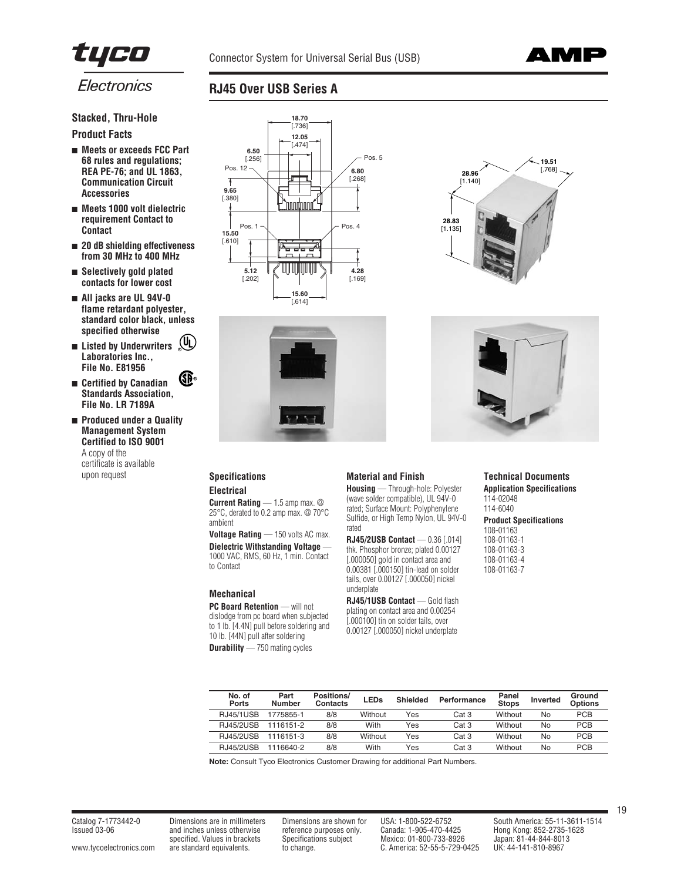



# **Stacked, Thru-Hole**

# **Product Facts**

- **Meets or exceeds FCC Part 68 rules and regulations; REA PE-76; and UL 1863, Communication Circuit Accessories**
- **Meets 1000 volt dielectric requirement Contact to Contact**
- **20 dB shielding effectiveness from 30 MHz to 400 MHz**
- **Selectively gold plated contacts for lower cost**
- **All jacks are UL 94V-0 flame retardant polyester, standard color black, unless specified otherwise**
- **Listed by Underwriters R Laboratories Inc., File No. E81956**
	- **R**
- **Certified by Canadian Standards Association, File No. LR 7189A**
- **Produced under a Quality Management System Certified to ISO 9001**  A copy of the certificate is available upon request **Specifications**



**RJ45 Over USB Series A**





## **Material and Finish**

**Electrical**

**Current Rating** — 1.5 amp max. @ 25°C, derated to 0.2 amp max. @ 70°C ambient

**Voltage Rating - 150 volts AC max. Dielectric Withstanding Voltage** — 1000 VAC, RMS, 60 Hz, 1 min. Contact to Contact

# **Mechanical**

**PC Board Retention** — will not dislodge from pc board when subjected to 1 lb. [4.4N] pull before soldering and 10 lb. [44N] pull after soldering **Durability** — 750 mating cycles

**Housing** — Through-hole: Polyester (wave solder compatible), UL 94V-0 rated; Surface Mount: Polyphenylene Sulfide, or High Temp Nylon, UL 94V-0 rated

**RJ45/2USB Contact** — 0.36 [.014] thk. Phosphor bronze; plated 0.00127 [.000050] gold in contact area and 0.00381 [.000150] tin-lead on solder tails, over 0.00127 [.000050] nickel underplate

**RJ45/1USB Contact** — Gold flash plating on contact area and 0.00254 [.000100] tin on solder tails, over 0.00127 [.000050] nickel underplate

# **Technical Documents Application Specifications**

114-02048 114-6040

# **Product Specifications**

108-01163 108-01163-1 108-01163-3 108-01163-4 108-01163-7

| No. of<br>Ports  | Part<br><b>Number</b> | Positions/<br>Contacts | <b>LEDs</b> | Shielded | Performance | Panel<br><b>Stops</b> | Inverted | Ground<br><b>Options</b> |  |
|------------------|-----------------------|------------------------|-------------|----------|-------------|-----------------------|----------|--------------------------|--|
| <b>RJ45/1USB</b> | 1775855-1             | 8/8                    | Without     | Yes      | Cat 3       | Without               | No       | <b>PCB</b>               |  |
| <b>RJ45/2USB</b> | 1116151-2             | 8/8                    | With        | Yes      | Cat 3       | Without               | No       | <b>PCB</b>               |  |
| <b>RJ45/2USB</b> | 1116151-3             | 8/8                    | Without     | Yes      | Cat 3       | Without               | No       | <b>PCB</b>               |  |
| <b>RJ45/2USB</b> | 1116640-2             | 8/8                    | With        | Yes      | Cat 3       | Without               | No       | <b>PCB</b>               |  |

**Note:** Consult Tyco Electronics Customer Drawing for additional Part Numbers.

and inches unless otherwise reference purposes only. Canada: 1-905-470-4425<br>specified. Values in brackets Specifications subject Mexico: 01-800-733-8926

specified. Values in brackets Specifications subject Mexico: 01-800-733-8926 Japan: 81-44-844-801<br>are standard equivalents. b to change. C. America: 52-55-5-729-0425 UK: 44-141-810-8967 [www.tycoelectronics.com](http://www.tycoelectronics.com) are standard equivalents. to change. C. America: 52-55-5-729-0425

Catalog 7-1773442-0 Dimensions are in millimeters Dimensions are shown for USA: 1-800-522-6752 South America: 55-11-3611-1514<br>Issued 03-06 and inches unless otherwise reference purposes only. Canada: 1-905-470-4425 Hong Ko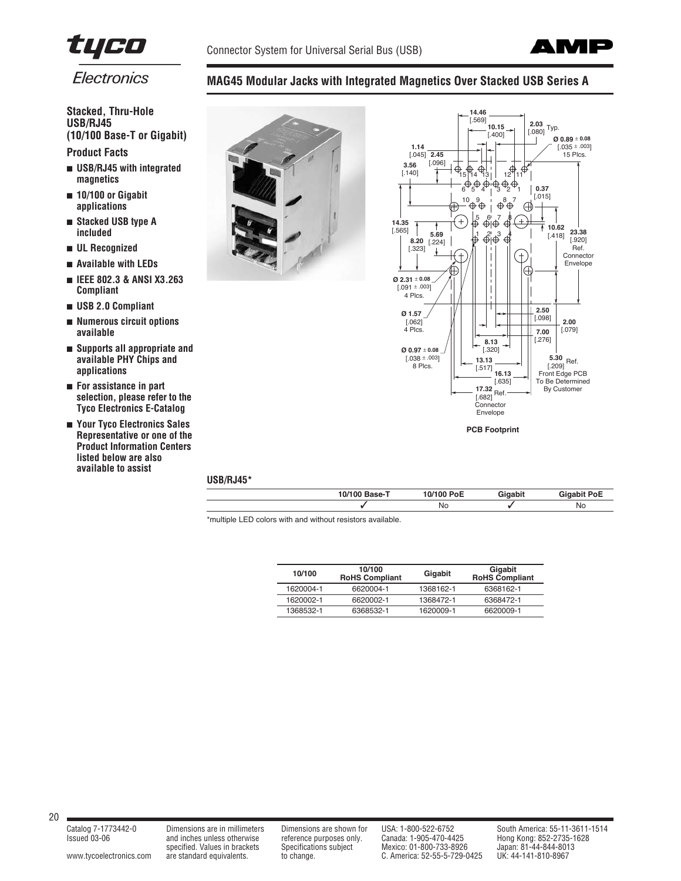

**MAG45 Modular Jacks with Integrated Magnetics Over Stacked USB Series A**



Electronics

# **Stacked, Thru-Hole USB/RJ45 (10/100 Base-T or Gigabit) Product Facts**

- **USB/RJ45 with integrated magnetics**
- **10/100 or Gigabit applications**
- **Stacked USB type A included**
- **UL Recognized**
- **Available with LEDs**
- **IEEE 802.3 & ANSI X3.263 Compliant**
- **USB 2.0 Compliant**
- **Numerous circuit options available**
- **Supports all appropriate and available PHY Chips and applications**
- **For assistance in part selection, please refer to the Tyco Electronics E-Catalog**
- **Your Tyco Electronics Sales Representative or one of the Product Information Centers listed below are also available to assist**





## **USB/RJ45\***

| 10/100<br>ר-Base ( | 10/100 PoE | Giaabit | <b>Gigabit PoE</b> |
|--------------------|------------|---------|--------------------|
|                    | Νo         |         | No.                |

\*multiple LED colors with and without resistors available.

| 10/100    | 10/100<br><b>RoHS Compliant</b> | Gigabit   | Gigabit<br>RoHS Compliant |
|-----------|---------------------------------|-----------|---------------------------|
| 1620004-1 | 6620004-1                       | 1368162-1 | 6368162-1                 |
| 1620002-1 | 6620002-1                       | 1368472-1 | 6368472-1                 |
| 1368532-1 | 6368532-1                       | 1620009-1 | 6620009-1                 |

#### 20

[www.tycoelectronics.com](http://www.tycoelectronics.com) are standard equivalents. to change. C. America: 52-55-5-729-0425

Issued 03-06 and inches unless otherwise reference purposes only. Canada: 1-905-470-4425 Hong Kong: 852-2735-1628 and inches unless otherwise the energy of the process only.<br>Specifications subject Mexico: 01-800-733-8926 Japan: 81-44-844-8013<br>are standard equivalents. to change. C. America: 52-55-5-729-0425 UK: 44-141-810-8967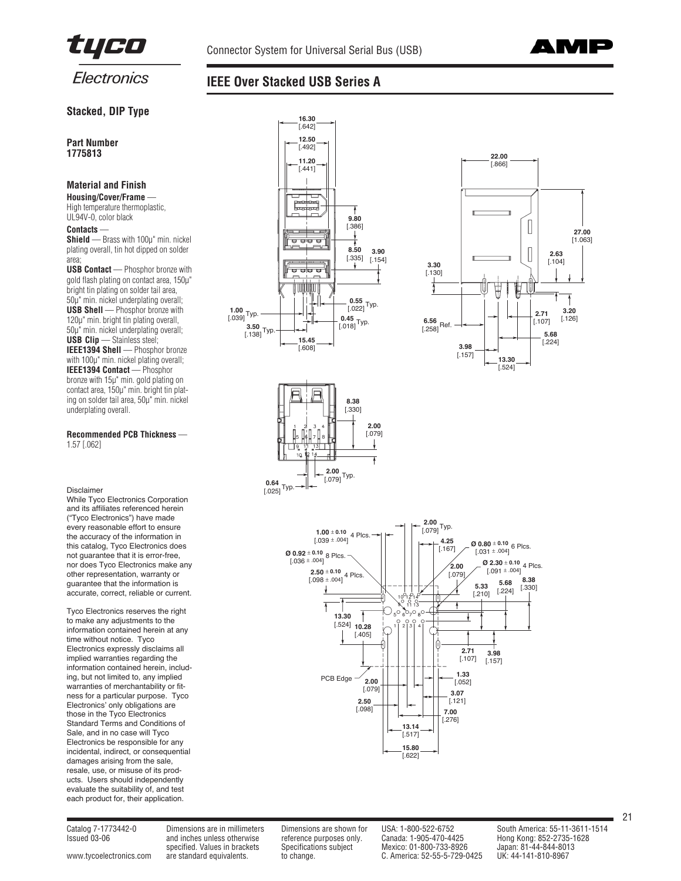



# **Stacked, DIP Type**

**Part Number 1775813**

# **Material and Finish**

**Housing/Cover/Frame** — High temperature thermoplastic, UL94V-0, color black

#### **Contacts** —

**Shield** — Brass with 100µ" min. nickel plating overall, tin hot dipped on solder area;

**USB Contact** — Phosphor bronze with gold flash plating on contact area, 150µ" bright tin plating on solder tail area, 50µ" min. nickel underplating overall; **USB Shell** — Phosphor bronze with 120µ" min. bright tin plating overall, 50µ" min. nickel underplating overall; **USB Clip** — Stainless steel; **IEEE1394 Shell** — Phosphor bronze with 100µ" min. nickel plating overall; **IEEE1394 Contact** — Phosphor bronze with 15µ" min. gold plating on contact area, 150µ" min. bright tin plating on solder tail area, 50µ" min. nickel underplating overall.

#### **Recommended PCB Thickness** — 1.57 [.062]

#### Disclaimer

While Tyco Electronics Corporation and its affiliates referenced herein ("Tyco Electronics") have made every reasonable effort to ensure the accuracy of the information in this catalog, Tyco Electronics does not guarantee that it is error-free, nor does Tyco Electronics make any other representation, warranty or guarantee that the information is accurate, correct, reliable or current.

Tyco Electronics reserves the right to make any adjustments to the information contained herein at any time without notice. Tyco Electronics expressly disclaims all implied warranties regarding the information contained herein, including, but not limited to, any implied warranties of merchantability or fitness for a particular purpose. Tyco Electronics' only obligations are those in the Tyco Electronics Standard Terms and Conditions of Sale, and in no case will Tyco Electronics be responsible for any incidental, indirect, or consequential damages arising from the sale, resale, use, or misuse of its products. Users should independently evaluate the suitability of, and test each product for, their application.





[www.tycoelectronics.com](http://www.tycoelectronics.com) are standard equivalents. to change. C. America: 52-55-5-729-0425

specified. Values in brackets Specifications subject Mexico: 01-800-733-8926 Japan: 81-44-844-8013<br>are standard equivalents. to change. C. America: 52-55-5-729-0425 UK: 44-141-810-8967

Issued 03-06 and inches unless otherwise reference purposes only. Canada: 1-905-470-4425 Hong Kong: 852-2735-1628